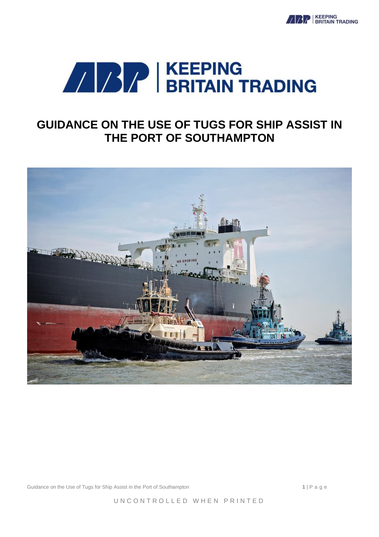



# **GUIDANCE ON THE USE OF TUGS FOR SHIP ASSIST IN THE PORT OF SOUTHAMPTON**



Guidance on the Use of Tugs for Ship Assist in the Port of Southampton **1** | P a g e

UNCONTROLLED WHEN PRINTED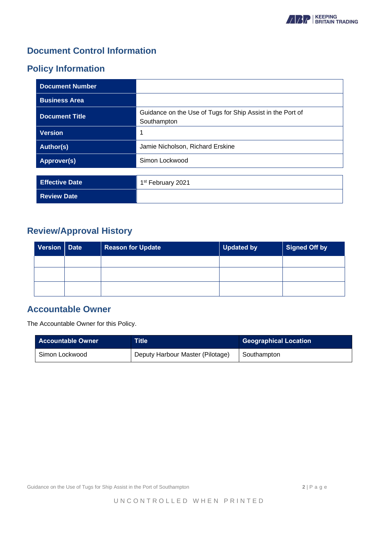

## **Document Control Information**

## **Policy Information**

| <b>Document Number</b> |                                                                           |
|------------------------|---------------------------------------------------------------------------|
| <b>Business Area</b>   |                                                                           |
| <b>Document Title</b>  | Guidance on the Use of Tugs for Ship Assist in the Port of<br>Southampton |
| <b>Version</b>         | 1                                                                         |
| <b>Author(s)</b>       | Jamie Nicholson, Richard Erskine                                          |
| Approver(s)            | Simon Lockwood                                                            |
|                        |                                                                           |
| <b>Effective Date</b>  | 1 <sup>st</sup> February 2021                                             |
| <b>Review Date</b>     |                                                                           |

## **Review/Approval History**

| Version   Date | <b>Reason for Update</b> | <b>Updated by</b> | <b>Signed Off by</b> |
|----------------|--------------------------|-------------------|----------------------|
|                |                          |                   |                      |
|                |                          |                   |                      |
|                |                          |                   |                      |

## **Accountable Owner**

The Accountable Owner for this Policy.

| <b>Accountable Owner</b> | Title'                           | <b>Geographical Location</b> |
|--------------------------|----------------------------------|------------------------------|
| Simon Lockwood           | Deputy Harbour Master (Pilotage) | Southampton                  |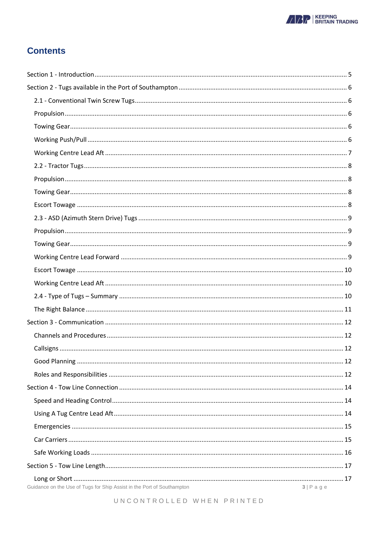

## **Contents**

| Guidance on the Use of Tugs for Ship Assist in the Port of Southampton | $3 P \text{ a } g e$ |
|------------------------------------------------------------------------|----------------------|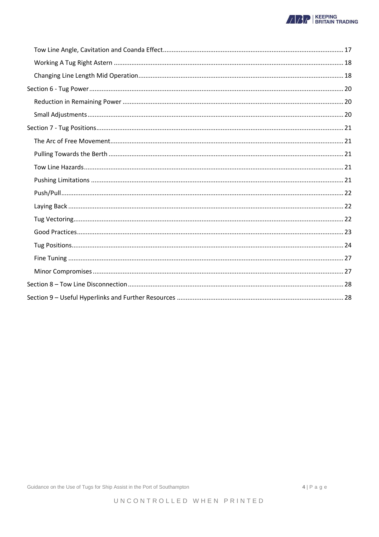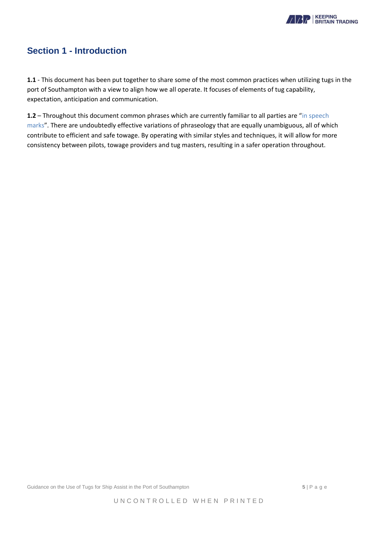

## <span id="page-4-0"></span>**Section 1 - Introduction**

**1.1** - This document has been put together to share some of the most common practices when utilizing tugs in the port of Southampton with a view to align how we all operate. It focuses of elements of tug capability, expectation, anticipation and communication.

**1.2** – Throughout this document common phrases which are currently familiar to all parties are "in speech marks". There are undoubtedly effective variations of phraseology that are equally unambiguous, all of which contribute to efficient and safe towage. By operating with similar styles and techniques, it will allow for more consistency between pilots, towage providers and tug masters, resulting in a safer operation throughout.

Guidance on the Use of Tugs for Ship Assist in the Port of Southampton **5** | P a g e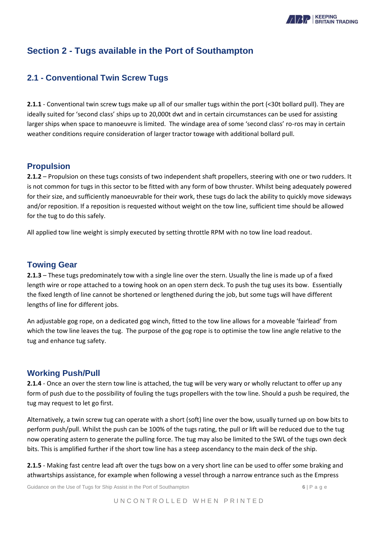

## <span id="page-5-0"></span>**Section 2 - Tugs available in the Port of Southampton**

### <span id="page-5-1"></span>**2.1 - Conventional Twin Screw Tugs**

**2.1.1** - Conventional twin screw tugs make up all of our smaller tugs within the port (<30t bollard pull). They are ideally suited for 'second class' ships up to 20,000t dwt and in certain circumstances can be used for assisting larger ships when space to manoeuvre is limited. The windage area of some 'second class' ro-ros may in certain weather conditions require consideration of larger tractor towage with additional bollard pull.

#### <span id="page-5-2"></span>**Propulsion**

**2.1.2** – Propulsion on these tugs consists of two independent shaft propellers, steering with one or two rudders. It is not common for tugs in this sector to be fitted with any form of bow thruster. Whilst being adequately powered for their size, and sufficiently manoeuvrable for their work, these tugs do lack the ability to quickly move sideways and/or reposition. If a reposition is requested without weight on the tow line, sufficient time should be allowed for the tug to do this safely.

All applied tow line weight is simply executed by setting throttle RPM with no tow line load readout.

#### <span id="page-5-3"></span>**Towing Gear**

**2.1.3** – These tugs predominately tow with a single line over the stern. Usually the line is made up of a fixed length wire or rope attached to a towing hook on an open stern deck. To push the tug uses its bow. Essentially the fixed length of line cannot be shortened or lengthened during the job, but some tugs will have different lengths of line for different jobs.

An adjustable gog rope, on a dedicated gog winch, fitted to the tow line allows for a moveable 'fairlead' from which the tow line leaves the tug. The purpose of the gog rope is to optimise the tow line angle relative to the tug and enhance tug safety.

#### <span id="page-5-4"></span>**Working Push/Pull**

**2.1.4** - Once an over the stern tow line is attached, the tug will be very wary or wholly reluctant to offer up any form of push due to the possibility of fouling the tugs propellers with the tow line. Should a push be required, the tug may request to let go first.

Alternatively, a twin screw tug can operate with a short (soft) line over the bow, usually turned up on bow bits to perform push/pull. Whilst the push can be 100% of the tugs rating, the pull or lift will be reduced due to the tug now operating astern to generate the pulling force. The tug may also be limited to the SWL of the tugs own deck bits. This is amplified further if the short tow line has a steep ascendancy to the main deck of the ship.

**2.1.5** - Making fast centre lead aft over the tugs bow on a very short line can be used to offer some braking and athwartships assistance, for example when following a vessel through a narrow entrance such as the Empress

Guidance on the Use of Tugs for Ship Assist in the Port of Southampton **6** | P a g e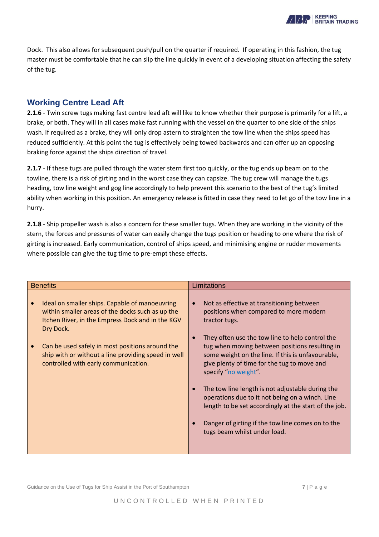Dock. This also allows for subsequent push/pull on the quarter if required. If operating in this fashion, the tug master must be comfortable that he can slip the line quickly in event of a developing situation affecting the safety of the tug.

#### <span id="page-6-0"></span>**Working Centre Lead Aft**

**2.1.6** - Twin screw tugs making fast centre lead aft will like to know whether their purpose is primarily for a lift, a brake, or both. They will in all cases make fast running with the vessel on the quarter to one side of the ships wash. If required as a brake, they will only drop astern to straighten the tow line when the ships speed has reduced sufficiently. At this point the tug is effectively being towed backwards and can offer up an opposing braking force against the ships direction of travel.

**2.1.7** - If these tugs are pulled through the water stern first too quickly, or the tug ends up beam on to the towline, there is a risk of girting and in the worst case they can capsize. The tug crew will manage the tugs heading, tow line weight and gog line accordingly to help prevent this scenario to the best of the tug's limited ability when working in this position. An emergency release is fitted in case they need to let go of the tow line in a hurry.

**2.1.8** - Ship propeller wash is also a concern for these smaller tugs. When they are working in the vicinity of the stern, the forces and pressures of water can easily change the tugs position or heading to one where the risk of girting is increased. Early communication, control of ships speed, and minimising engine or rudder movements where possible can give the tug time to pre-empt these effects.

| <b>Benefits</b>                                                                                                                                                     | <b>Limitations</b>                                                                                                                                                                                                            |
|---------------------------------------------------------------------------------------------------------------------------------------------------------------------|-------------------------------------------------------------------------------------------------------------------------------------------------------------------------------------------------------------------------------|
| Ideal on smaller ships. Capable of manoeuvring<br>within smaller areas of the docks such as up the<br>Itchen River, in the Empress Dock and in the KGV<br>Dry Dock. | Not as effective at transitioning between<br>$\bullet$<br>positions when compared to more modern<br>tractor tugs.                                                                                                             |
| Can be used safely in most positions around the<br>ship with or without a line providing speed in well<br>controlled with early communication.                      | They often use the tow line to help control the<br>tug when moving between positions resulting in<br>some weight on the line. If this is unfavourable,<br>give plenty of time for the tug to move and<br>specify "no weight". |
|                                                                                                                                                                     | The tow line length is not adjustable during the<br>$\bullet$<br>operations due to it not being on a winch. Line<br>length to be set accordingly at the start of the job.                                                     |
|                                                                                                                                                                     | Danger of girting if the tow line comes on to the<br>tugs beam whilst under load.                                                                                                                                             |

Guidance on the Use of Tugs for Ship Assist in the Port of Southampton *7* | P a g e

**BIZ** | KEEPING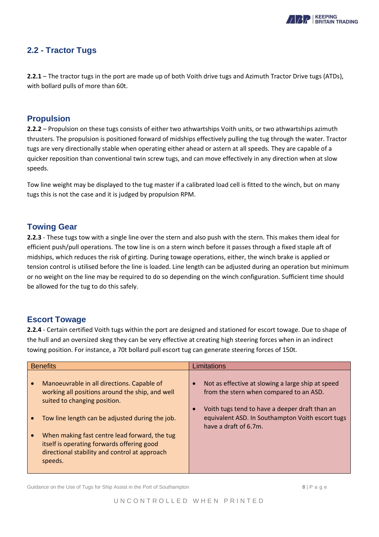

### <span id="page-7-0"></span>**2.2 - Tractor Tugs**

**2.2.1** – The tractor tugs in the port are made up of both Voith drive tugs and Azimuth Tractor Drive tugs (ATDs), with bollard pulls of more than 60t.

#### <span id="page-7-1"></span>**Propulsion**

**2.2.2** – Propulsion on these tugs consists of either two athwartships Voith units, or two athwartships azimuth thrusters. The propulsion is positioned forward of midships effectively pulling the tug through the water. Tractor tugs are very directionally stable when operating either ahead or astern at all speeds. They are capable of a quicker reposition than conventional twin screw tugs, and can move effectively in any direction when at slow speeds.

Tow line weight may be displayed to the tug master if a calibrated load cell is fitted to the winch, but on many tugs this is not the case and it is judged by propulsion RPM.

#### <span id="page-7-2"></span>**Towing Gear**

**2.2.3** - These tugs tow with a single line over the stern and also push with the stern. This makes them ideal for efficient push/pull operations. The tow line is on a stern winch before it passes through a fixed staple aft of midships, which reduces the risk of girting. During towage operations, either, the winch brake is applied or tension control is utilised before the line is loaded. Line length can be adjusted during an operation but minimum or no weight on the line may be required to do so depending on the winch configuration. Sufficient time should be allowed for the tug to do this safely.

#### <span id="page-7-3"></span>**Escort Towage**

**2.2.4** - Certain certified Voith tugs within the port are designed and stationed for escort towage. Due to shape of the hull and an oversized skeg they can be very effective at creating high steering forces when in an indirect towing position. For instance, a 70t bollard pull escort tug can generate steering forces of 150t.

| <b>Benefits</b> |                                                                                                                                                         | Limitations                                                                                                                 |  |
|-----------------|---------------------------------------------------------------------------------------------------------------------------------------------------------|-----------------------------------------------------------------------------------------------------------------------------|--|
|                 | Manoeuvrable in all directions. Capable of<br>working all positions around the ship, and well<br>suited to changing position.                           | Not as effective at slowing a large ship at speed<br>from the stern when compared to an ASD.                                |  |
|                 | Tow line length can be adjusted during the job.                                                                                                         | Voith tugs tend to have a deeper draft than an<br>equivalent ASD. In Southampton Voith escort tugs<br>have a draft of 6.7m. |  |
|                 | When making fast centre lead forward, the tug<br>itself is operating forwards offering good<br>directional stability and control at approach<br>speeds. |                                                                                                                             |  |

Guidance on the Use of Tugs for Ship Assist in the Port of Southampton **8** | P a g e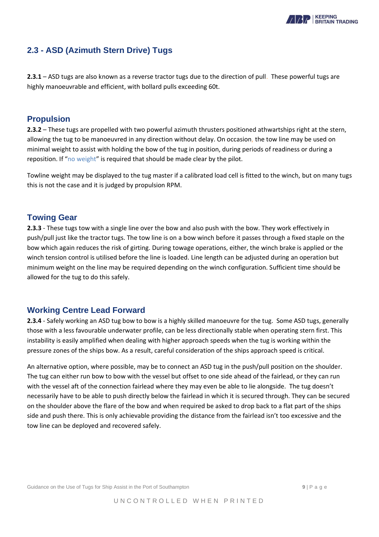

### <span id="page-8-0"></span>**2.3 - ASD (Azimuth Stern Drive) Tugs**

**2.3.1** – ASD tugs are also known as a reverse tractor tugs due to the direction of pull. These powerful tugs are highly manoeuvrable and efficient, with bollard pulls exceeding 60t.

#### <span id="page-8-1"></span>**Propulsion**

**2.3.2** – These tugs are propelled with two powerful azimuth thrusters positioned athwartships right at the stern, allowing the tug to be manoeuvred in any direction without delay. On occasion, the tow line may be used on minimal weight to assist with holding the bow of the tug in position, during periods of readiness or during a reposition. If "no weight" is required that should be made clear by the pilot.

Towline weight may be displayed to the tug master if a calibrated load cell is fitted to the winch, but on many tugs this is not the case and it is judged by propulsion RPM.

#### <span id="page-8-2"></span>**Towing Gear**

**2.3.3** - These tugs tow with a single line over the bow and also push with the bow. They work effectively in push/pull just like the tractor tugs. The tow line is on a bow winch before it passes through a fixed staple on the bow which again reduces the risk of girting. During towage operations, either, the winch brake is applied or the winch tension control is utilised before the line is loaded. Line length can be adjusted during an operation but minimum weight on the line may be required depending on the winch configuration. Sufficient time should be allowed for the tug to do this safely.

#### <span id="page-8-3"></span>**Working Centre Lead Forward**

**2.3.4** - Safely working an ASD tug bow to bow is a highly skilled manoeuvre for the tug. Some ASD tugs, generally those with a less favourable underwater profile, can be less directionally stable when operating stern first. This instability is easily amplified when dealing with higher approach speeds when the tug is working within the pressure zones of the ships bow. As a result, careful consideration of the ships approach speed is critical.

<span id="page-8-4"></span>An alternative option, where possible, may be to connect an ASD tug in the push/pull position on the shoulder. The tug can either run bow to bow with the vessel but offset to one side ahead of the fairlead, or they can run with the vessel aft of the connection fairlead where they may even be able to lie alongside. The tug doesn't necessarily have to be able to push directly below the fairlead in which it is secured through. They can be secured on the shoulder above the flare of the bow and when required be asked to drop back to a flat part of the ships side and push there. This is only achievable providing the distance from the fairlead isn't too excessive and the tow line can be deployed and recovered safely.

Guidance on the Use of Tugs for Ship Assist in the Port of Southampton **9** | P a g e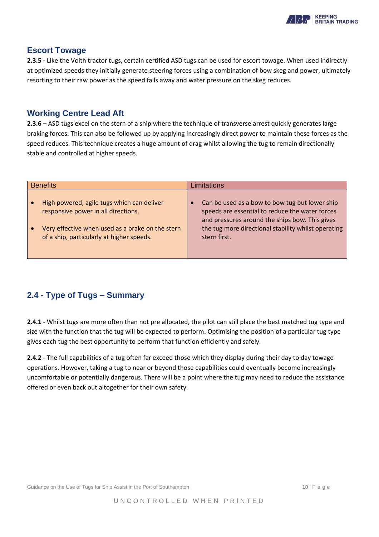<span id="page-9-0"></span>

#### **Escort Towage**

**2.3.5** - Like the Voith tractor tugs, certain certified ASD tugs can be used for escort towage. When used indirectly at optimized speeds they initially generate steering forces using a combination of bow skeg and power, ultimately resorting to their raw power as the speed falls away and water pressure on the skeg reduces.

#### **Working Centre Lead Aft**

**2.3.6** – ASD tugs excel on the stern of a ship where the technique of transverse arrest quickly generates large braking forces. This can also be followed up by applying increasingly direct power to maintain these forces as the speed reduces. This technique creates a huge amount of drag whilst allowing the tug to remain directionally stable and controlled at higher speeds.

| <b>Benefits</b>                                                                               | Limitations                                                                                                                                         |  |
|-----------------------------------------------------------------------------------------------|-----------------------------------------------------------------------------------------------------------------------------------------------------|--|
| High powered, agile tugs which can deliver<br>responsive power in all directions.             | Can be used as a bow to bow tug but lower ship<br>speeds are essential to reduce the water forces<br>and pressures around the ships bow. This gives |  |
| Very effective when used as a brake on the stern<br>of a ship, particularly at higher speeds. | the tug more directional stability whilst operating<br>stern first.                                                                                 |  |

## <span id="page-9-1"></span>**2.4 - Type of Tugs – Summary**

**2.4.1** - Whilst tugs are more often than not pre allocated, the pilot can still place the best matched tug type and size with the function that the tug will be expected to perform. Optimising the position of a particular tug type gives each tug the best opportunity to perform that function efficiently and safely.

**2.4.2** - The full capabilities of a tug often far exceed those which they display during their day to day towage operations. However, taking a tug to near or beyond those capabilities could eventually become increasingly uncomfortable or potentially dangerous. There will be a point where the tug may need to reduce the assistance offered or even back out altogether for their own safety.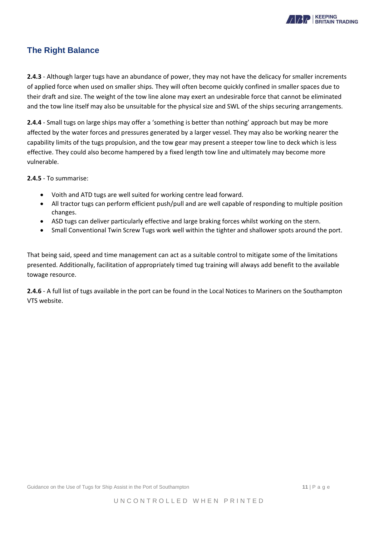

### <span id="page-10-0"></span>**The Right Balance**

**2.4.3** - Although larger tugs have an abundance of power, they may not have the delicacy for smaller increments of applied force when used on smaller ships. They will often become quickly confined in smaller spaces due to their draft and size. The weight of the tow line alone may exert an undesirable force that cannot be eliminated and the tow line itself may also be unsuitable for the physical size and SWL of the ships securing arrangements.

**2.4.4** - Small tugs on large ships may offer a 'something is better than nothing' approach but may be more affected by the water forces and pressures generated by a larger vessel. They may also be working nearer the capability limits of the tugs propulsion, and the tow gear may present a steeper tow line to deck which is less effective. They could also become hampered by a fixed length tow line and ultimately may become more vulnerable.

**2.4.5** - To summarise:

- Voith and ATD tugs are well suited for working centre lead forward.
- All tractor tugs can perform efficient push/pull and are well capable of responding to multiple position changes.
- ASD tugs can deliver particularly effective and large braking forces whilst working on the stern.
- Small Conventional Twin Screw Tugs work well within the tighter and shallower spots around the port.

That being said, speed and time management can act as a suitable control to mitigate some of the limitations presented. Additionally, facilitation of appropriately timed tug training will always add benefit to the available towage resource.

**2.4.6** - A full list of tugs available in the port can be found in the Local Notices to Mariners on the Southampton VTS website.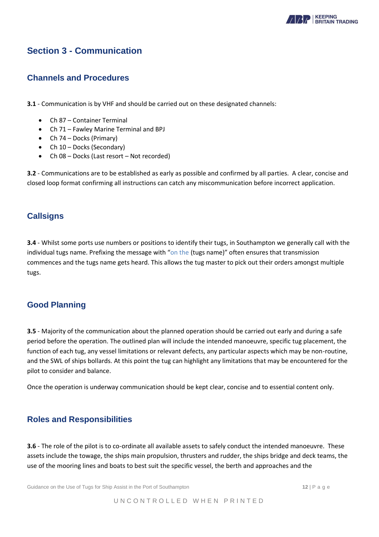

## <span id="page-11-0"></span>**Section 3 - Communication**

#### <span id="page-11-1"></span>**Channels and Procedures**

**3.1** - Communication is by VHF and should be carried out on these designated channels:

- Ch 87 Container Terminal
- Ch 71 Fawley Marine Terminal and BPJ
- Ch 74 Docks (Primary)
- Ch 10 Docks (Secondary)
- Ch 08 Docks (Last resort Not recorded)

**3.2** - Communications are to be established as early as possible and confirmed by all parties. A clear, concise and closed loop format confirming all instructions can catch any miscommunication before incorrect application.

#### <span id="page-11-2"></span>**Callsigns**

**3.4** - Whilst some ports use numbers or positions to identify their tugs, in Southampton we generally call with the individual tugs name. Prefixing the message with "on the (tugs name)" often ensures that transmission commences and the tugs name gets heard. This allows the tug master to pick out their orders amongst multiple tugs.

#### <span id="page-11-3"></span>**Good Planning**

**3.5** - Majority of the communication about the planned operation should be carried out early and during a safe period before the operation. The outlined plan will include the intended manoeuvre, specific tug placement, the function of each tug, any vessel limitations or relevant defects, any particular aspects which may be non-routine, and the SWL of ships bollards. At this point the tug can highlight any limitations that may be encountered for the pilot to consider and balance.

Once the operation is underway communication should be kept clear, concise and to essential content only.

#### <span id="page-11-4"></span>**Roles and Responsibilities**

**3.6** - The role of the pilot is to co-ordinate all available assets to safely conduct the intended manoeuvre. These assets include the towage, the ships main propulsion, thrusters and rudder, the ships bridge and deck teams, the use of the mooring lines and boats to best suit the specific vessel, the berth and approaches and the

Guidance on the Use of Tugs for Ship Assist in the Port of Southampton **12** | P a g e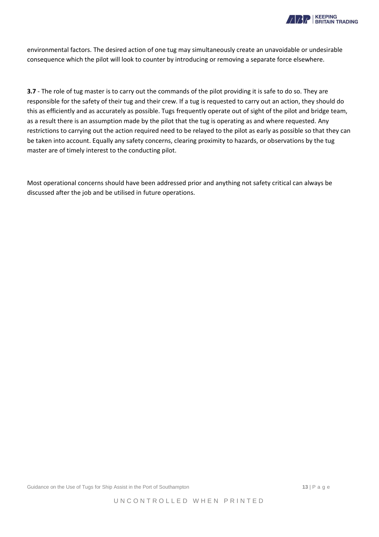

environmental factors. The desired action of one tug may simultaneously create an unavoidable or undesirable consequence which the pilot will look to counter by introducing or removing a separate force elsewhere.

**3.7** - The role of tug master is to carry out the commands of the pilot providing it is safe to do so. They are responsible for the safety of their tug and their crew. If a tug is requested to carry out an action, they should do this as efficiently and as accurately as possible. Tugs frequently operate out of sight of the pilot and bridge team, as a result there is an assumption made by the pilot that the tug is operating as and where requested. Any restrictions to carrying out the action required need to be relayed to the pilot as early as possible so that they can be taken into account. Equally any safety concerns, clearing proximity to hazards, or observations by the tug master are of timely interest to the conducting pilot.

Most operational concerns should have been addressed prior and anything not safety critical can always be discussed after the job and be utilised in future operations.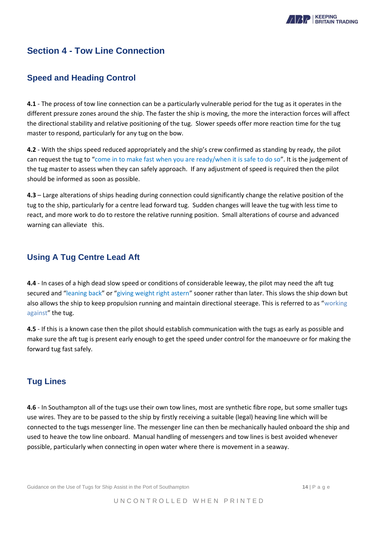

## <span id="page-13-0"></span>**Section 4 - Tow Line Connection**

### <span id="page-13-1"></span>**Speed and Heading Control**

**4.1** - The process of tow line connection can be a particularly vulnerable period for the tug as it operates in the different pressure zones around the ship. The faster the ship is moving, the more the interaction forces will affect the directional stability and relative positioning of the tug. Slower speeds offer more reaction time for the tug master to respond, particularly for any tug on the bow.

**4.2** - With the ships speed reduced appropriately and the ship's crew confirmed as standing by ready, the pilot can request the tug to "come in to make fast when you are ready/when it is safe to do so". It is the judgement of the tug master to assess when they can safely approach. If any adjustment of speed is required then the pilot should be informed as soon as possible.

**4.3** – Large alterations of ships heading during connection could significantly change the relative position of the tug to the ship, particularly for a centre lead forward tug. Sudden changes will leave the tug with less time to react, and more work to do to restore the relative running position. Small alterations of course and advanced warning can alleviate this.

### <span id="page-13-2"></span>**Using A Tug Centre Lead Aft**

**4.4** - In cases of a high dead slow speed or conditions of considerable leeway, the pilot may need the aft tug secured and "leaning back" or "giving weight right astern" sooner rather than later. This slows the ship down but also allows the ship to keep propulsion running and maintain directional steerage. This is referred to as "working against" the tug.

**4.5** - If this is a known case then the pilot should establish communication with the tugs as early as possible and make sure the aft tug is present early enough to get the speed under control for the manoeuvre or for making the forward tug fast safely.

#### **Tug Lines**

**4.6** - In Southampton all of the tugs use their own tow lines, most are synthetic fibre rope, but some smaller tugs use wires. They are to be passed to the ship by firstly receiving a suitable (legal) heaving line which will be connected to the tugs messenger line. The messenger line can then be mechanically hauled onboard the ship and used to heave the tow line onboard. Manual handling of messengers and tow lines is best avoided whenever possible, particularly when connecting in open water where there is movement in a seaway.

Guidance on the Use of Tugs for Ship Assist in the Port of Southampton **14 14 14 18 14 18 14 18 14 18 14 18 14 18 14 18 14 18 14 18 14 18 14 18 14 18 1 14 18 18 1**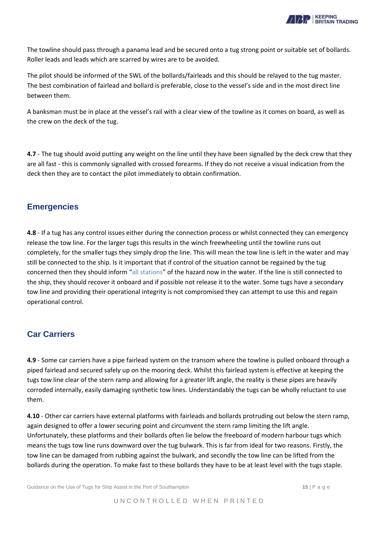

The towline should pass through a panama lead and be secured onto a tug strong point or suitable set of bollards. Roller leads and leads which are scarred by wires are to be avoided.

The pilot should be informed of the SWL of the bollards/fairleads and this should be relayed to the tug master. The best combination of fairlead and bollard is preferable, close to the vessel's side and in the most direct line between them.

A banksman must be in place at the vessel's rail with a clear view of the towline as it comes on board, as well as the crew on the deck of the tug.

**4.7** - The tug should avoid putting any weight on the line until they have been signalled by the deck crew that they are all fast - this is commonly signalled with crossed forearms. If they do not receive a visual indication from the deck then they are to contact the pilot immediately to obtain confirmation.

#### <span id="page-14-0"></span>**Emergencies**

**4.8** - If a tug has any control issues either during the connection process or whilst connected they can emergency release the tow line. For the larger tugs this results in the winch freewheeling until the towline runs out completely, for the smaller tugs they simply drop the line. This will mean the tow line is left in the water and may still be connected to the ship. Is it important that if control of the situation cannot be regained by the tug concerned then they should inform "all stations" of the hazard now in the water. If the line is still connected to the ship, they should recover it onboard and if possible not release it to the water. Some tugs have a secondary tow line and providing their operational integrity is not compromised they can attempt to use this and regain operational control.

#### <span id="page-14-1"></span>**Car Carriers**

**4.9** - Some car carriers have a pipe fairlead system on the transom where the towline is pulled onboard through a piped fairlead and secured safely up on the mooring deck. Whilst this fairlead system is effective at keeping the tugs tow line clear of the stern ramp and allowing for a greater lift angle, the reality is these pipes are heavily corroded internally, easily damaging synthetic tow lines. Understandably the tugs can be wholly reluctant to use them.

**4.10** - Other car carriers have external platforms with fairleads and bollards protruding out below the stern ramp, again designed to offer a lower securing point and circumvent the stern ramp limiting the lift angle. Unfortunately, these platforms and their bollards often lie below the freeboard of modern harbour tugs which means the tugs tow line runs downward over the tug bulwark. This is far from ideal for two reasons. Firstly, the tow line can be damaged from rubbing against the bulwark, and secondly the tow line can be lifted from the bollards during the operation. To make fast to these bollards they have to be at least level with the tugs staple.

Guidance on the Use of Tugs for Ship Assist in the Port of Southampton **15** and the Port of Southampton **15** and example **15** and example **15** and example **15** and example **15** and example **15** and example **15** and **15** an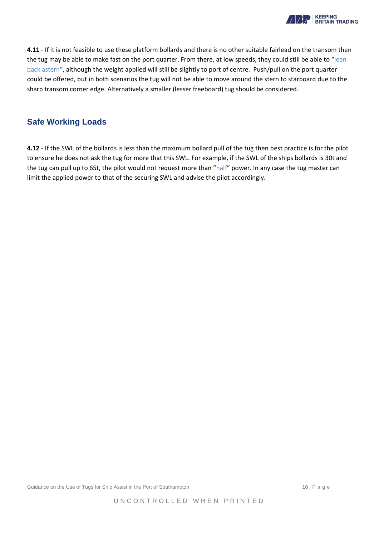

**4.11** - If it is not feasible to use these platform bollards and there is no other suitable fairlead on the transom then the tug may be able to make fast on the port quarter. From there, at low speeds, they could still be able to "lean back astern", although the weight applied will still be slightly to port of centre. Push/pull on the port quarter could be offered, but in both scenarios the tug will not be able to move around the stern to starboard due to the sharp transom corner edge. Alternatively a smaller (lesser freeboard) tug should be considered.

#### <span id="page-15-0"></span>**Safe Working Loads**

**4.12** - If the SWL of the bollards is less than the maximum bollard pull of the tug then best practice is for the pilot to ensure he does not ask the tug for more that this SWL. For example, if the SWL of the ships bollards is 30t and the tug can pull up to 65t, the pilot would not request more than "half" power. In any case the tug master can limit the applied power to that of the securing SWL and advise the pilot accordingly.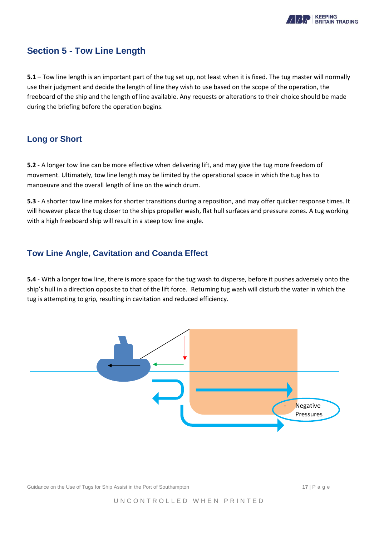

## <span id="page-16-0"></span>**Section 5 - Tow Line Length**

**5.1** – Tow line length is an important part of the tug set up, not least when it is fixed. The tug master will normally use their judgment and decide the length of line they wish to use based on the scope of the operation, the freeboard of the ship and the length of line available. Any requests or alterations to their choice should be made during the briefing before the operation begins.

#### <span id="page-16-1"></span>**Long or Short**

**5.2** - A longer tow line can be more effective when delivering lift, and may give the tug more freedom of movement. Ultimately, tow line length may be limited by the operational space in which the tug has to manoeuvre and the overall length of line on the winch drum.

**5.3** - A shorter tow line makes for shorter transitions during a reposition, and may offer quicker response times. It will however place the tug closer to the ships propeller wash, flat hull surfaces and pressure zones. A tug working with a high freeboard ship will result in a steep tow line angle.

#### <span id="page-16-2"></span>**Tow Line Angle, Cavitation and Coanda Effect**

**5.4** - With a longer tow line, there is more space for the tug wash to disperse, before it pushes adversely onto the ship's hull in a direction opposite to that of the lift force. Returning tug wash will disturb the water in which the tug is attempting to grip, resulting in cavitation and reduced efficiency.



Guidance on the Use of Tugs for Ship Assist in the Port of Southampton **17** and the Port of Southampton **17** and the Port of Southampton **17** and the Port of Southampton **17** and the Port of Southampton **17** and the Port o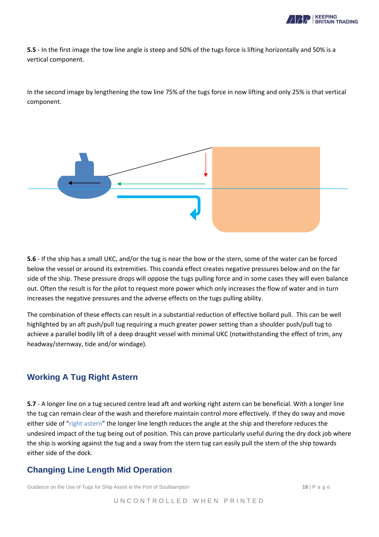

**5.5** - In the first image the tow line angle is steep and 50% of the tugs force is lifting horizontally and 50% is a vertical component.

In the second image by lengthening the tow line 75% of the tugs force in now lifting and only 25% is that vertical component.



**5.6** - If the ship has a small UKC, and/or the tug is near the bow or the stern, some of the water can be forced below the vessel or around its extremities. This coanda effect creates negative pressures below and on the far side of the ship. These pressure drops will oppose the tugs pulling force and in some cases they will even balance out. Often the result is for the pilot to request more power which only increases the flow of water and in turn increases the negative pressures and the adverse effects on the tugs pulling ability.

The combination of these effects can result in a substantial reduction of effective bollard pull. This can be well highlighted by an aft push/pull tug requiring a much greater power setting than a shoulder push/pull tug to achieve a parallel bodily lift of a deep draught vessel with minimal UKC (notwithstanding the effect of trim, any headway/sternway, tide and/or windage).

## <span id="page-17-0"></span>**Working A Tug Right Astern**

**5.7** - A longer line on a tug secured centre lead aft and working right astern can be beneficial. With a longer line the tug can remain clear of the wash and therefore maintain control more effectively. If they do sway and move either side of "right astern" the longer line length reduces the angle at the ship and therefore reduces the undesired impact of the tug being out of position. This can prove particularly useful during the dry dock job where the ship is working against the tug and a sway from the stern tug can easily pull the stern of the ship towards either side of the dock.

#### <span id="page-17-1"></span>**Changing Line Length Mid Operation**

Guidance on the Use of Tugs for Ship Assist in the Port of Southampton **18** | P a g e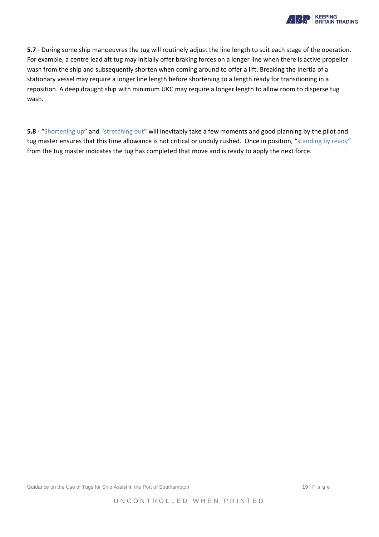

**5.7** - During some ship manoeuvres the tug will routinely adjust the line length to suit each stage of the operation. For example, a centre lead aft tug may initially offer braking forces on a longer line when there is active propeller wash from the ship and subsequently shorten when coming around to offer a lift. Breaking the inertia of a stationary vessel may require a longer line length before shortening to a length ready for transitioning in a reposition. A deep draught ship with minimum UKC may require a longer length to allow room to disperse tug wash.

**5.8** - "Shortening up" and "stretching out" will inevitably take a few moments and good planning by the pilot and tug master ensures that this time allowance is not critical or unduly rushed. Once in position, "standing by ready" from the tug master indicates the tug has completed that move and is ready to apply the next force.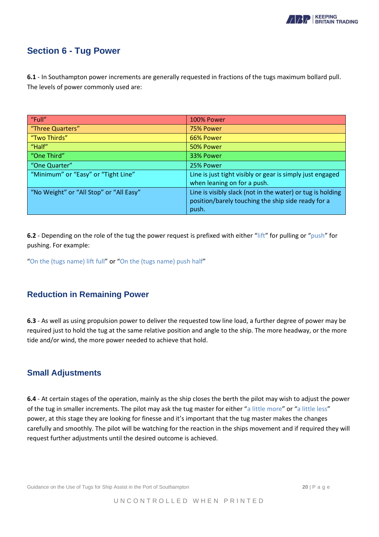

## <span id="page-19-0"></span>**Section 6 - Tug Power**

**6.1** - In Southampton power increments are generally requested in fractions of the tugs maximum bollard pull. The levels of power commonly used are:

| "Full"                                  | 100% Power                                                                                                                |
|-----------------------------------------|---------------------------------------------------------------------------------------------------------------------------|
| "Three Quarters"                        | 75% Power                                                                                                                 |
| "Two Thirds"                            | 66% Power                                                                                                                 |
| "Half"                                  | 50% Power                                                                                                                 |
| "One Third"                             | 33% Power                                                                                                                 |
| "One Quarter"                           | 25% Power                                                                                                                 |
| "Minimum" or "Easy" or "Tight Line"     | Line is just tight visibly or gear is simply just engaged<br>when leaning on for a push.                                  |
| "No Weight" or "All Stop" or "All Easy" | Line is visibly slack (not in the water) or tug is holding<br>position/barely touching the ship side ready for a<br>push. |

**6.2** - Depending on the role of the tug the power request is prefixed with either "lift" for pulling or "push" for pushing. For example:

"On the (tugs name) lift full" or "On the (tugs name) push half"

#### <span id="page-19-1"></span>**Reduction in Remaining Power**

**6.3** - As well as using propulsion power to deliver the requested tow line load, a further degree of power may be required just to hold the tug at the same relative position and angle to the ship. The more headway, or the more tide and/or wind, the more power needed to achieve that hold.

#### <span id="page-19-2"></span>**Small Adjustments**

**6.4** - At certain stages of the operation, mainly as the ship closes the berth the pilot may wish to adjust the power of the tug in smaller increments. The pilot may ask the tug master for either "a little more" or "a little less" power, at this stage they are looking for finesse and it's important that the tug master makes the changes carefully and smoothly. The pilot will be watching for the reaction in the ships movement and if required they will request further adjustments until the desired outcome is achieved.

Guidance on the Use of Tugs for Ship Assist in the Port of Southampton **20** | P a g e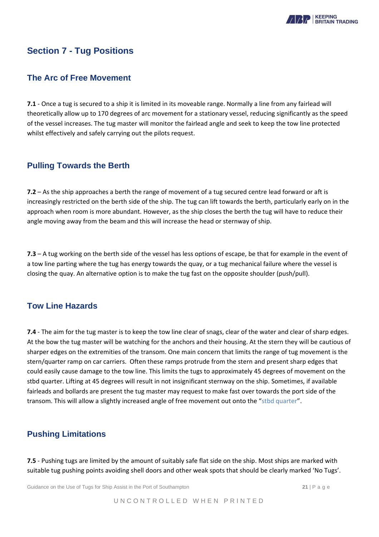

## <span id="page-20-0"></span>**Section 7 - Tug Positions**

#### <span id="page-20-1"></span>**The Arc of Free Movement**

**7.1** - Once a tug is secured to a ship it is limited in its moveable range. Normally a line from any fairlead will theoretically allow up to 170 degrees of arc movement for a stationary vessel, reducing significantly as the speed of the vessel increases. The tug master will monitor the fairlead angle and seek to keep the tow line protected whilst effectively and safely carrying out the pilots request.

#### <span id="page-20-2"></span>**Pulling Towards the Berth**

**7.2** – As the ship approaches a berth the range of movement of a tug secured centre lead forward or aft is increasingly restricted on the berth side of the ship. The tug can lift towards the berth, particularly early on in the approach when room is more abundant. However, as the ship closes the berth the tug will have to reduce their angle moving away from the beam and this will increase the head or sternway of ship.

**7.3** – A tug working on the berth side of the vessel has less options of escape, be that for example in the event of a tow line parting where the tug has energy towards the quay, or a tug mechanical failure where the vessel is closing the quay. An alternative option is to make the tug fast on the opposite shoulder (push/pull).

### <span id="page-20-3"></span>**Tow Line Hazards**

**7.4** - The aim for the tug master is to keep the tow line clear of snags, clear of the water and clear of sharp edges. At the bow the tug master will be watching for the anchors and their housing. At the stern they will be cautious of sharper edges on the extremities of the transom. One main concern that limits the range of tug movement is the stern/quarter ramp on car carriers. Often these ramps protrude from the stern and present sharp edges that could easily cause damage to the tow line. This limits the tugs to approximately 45 degrees of movement on the stbd quarter. Lifting at 45 degrees will result in not insignificant sternway on the ship. Sometimes, if available fairleads and bollards are present the tug master may request to make fast over towards the port side of the transom. This will allow a slightly increased angle of free movement out onto the "stbd quarter".

#### <span id="page-20-4"></span>**Pushing Limitations**

**7.5** - Pushing tugs are limited by the amount of suitably safe flat side on the ship. Most ships are marked with suitable tug pushing points avoiding shell doors and other weak spots that should be clearly marked 'No Tugs'.

Guidance on the Use of Tugs for Ship Assist in the Port of Southampton **21** | P a g e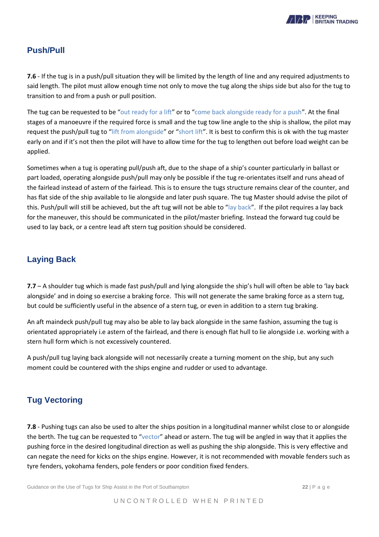

### <span id="page-21-0"></span>**Push/Pull**

**7.6** - If the tug is in a push/pull situation they will be limited by the length of line and any required adjustments to said length. The pilot must allow enough time not only to move the tug along the ships side but also for the tug to transition to and from a push or pull position.

The tug can be requested to be "out ready for a lift" or to "come back alongside ready for a push". At the final stages of a manoeuvre if the required force is small and the tug tow line angle to the ship is shallow, the pilot may request the push/pull tug to "lift from alongside" or "short lift". It is best to confirm this is ok with the tug master early on and if it's not then the pilot will have to allow time for the tug to lengthen out before load weight can be applied.

Sometimes when a tug is operating pull/push aft, due to the shape of a ship's counter particularly in ballast or part loaded, operating alongside push/pull may only be possible if the tug re-orientates itself and runs ahead of the fairlead instead of astern of the fairlead. This is to ensure the tugs structure remains clear of the counter, and has flat side of the ship available to lie alongside and later push square. The tug Master should advise the pilot of this. Push/pull will still be achieved, but the aft tug will not be able to "lay back". If the pilot requires a lay back for the maneuver, this should be communicated in the pilot/master briefing. Instead the forward tug could be used to lay back, or a centre lead aft stern tug position should be considered.

## <span id="page-21-1"></span>**Laying Back**

**7.7** – A shoulder tug which is made fast push/pull and lying alongside the ship's hull will often be able to 'lay back alongside' and in doing so exercise a braking force. This will not generate the same braking force as a stern tug, but could be sufficiently useful in the absence of a stern tug, or even in addition to a stern tug braking.

An aft maindeck push/pull tug may also be able to lay back alongside in the same fashion, assuming the tug is orientated appropriately i.e astern of the fairlead, and there is enough flat hull to lie alongside i.e. working with a stern hull form which is not excessively countered.

A push/pull tug laying back alongside will not necessarily create a turning moment on the ship, but any such moment could be countered with the ships engine and rudder or used to advantage.

#### <span id="page-21-2"></span>**Tug Vectoring**

**7.8** - Pushing tugs can also be used to alter the ships position in a longitudinal manner whilst close to or alongside the berth. The tug can be requested to "vector" ahead or astern. The tug will be angled in way that it applies the pushing force in the desired longitudinal direction as well as pushing the ship alongside. This is very effective and can negate the need for kicks on the ships engine. However, it is not recommended with movable fenders such as tyre fenders, yokohama fenders, pole fenders or poor condition fixed fenders.

Guidance on the Use of Tugs for Ship Assist in the Port of Southampton **22 22** | P a g e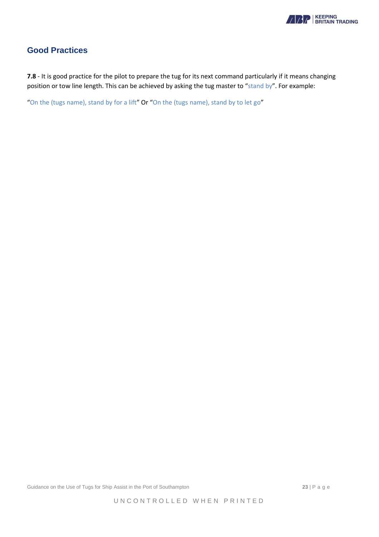

## <span id="page-22-0"></span>**Good Practices**

**7.8** - It is good practice for the pilot to prepare the tug for its next command particularly if it means changing position or tow line length. This can be achieved by asking the tug master to "stand by". For example:

<span id="page-22-1"></span>"On the (tugs name), stand by for a lift" Or "On the (tugs name), stand by to let go"

Guidance on the Use of Tugs for Ship Assist in the Port of Southampton **23** | P a g e

UNCONTROLLED WHEN PRINTED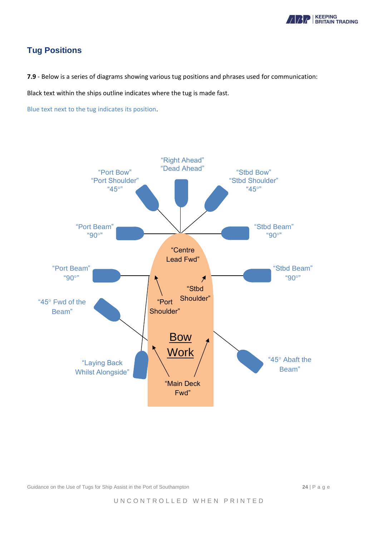

## **Tug Positions**

**7.9** - Below is a series of diagrams showing various tug positions and phrases used for communication:

Black text within the ships outline indicates where the tug is made fast.

Blue text next to the tug indicates its position.



Guidance on the Use of Tugs for Ship Assist in the Port of Southampton **24** | P a g e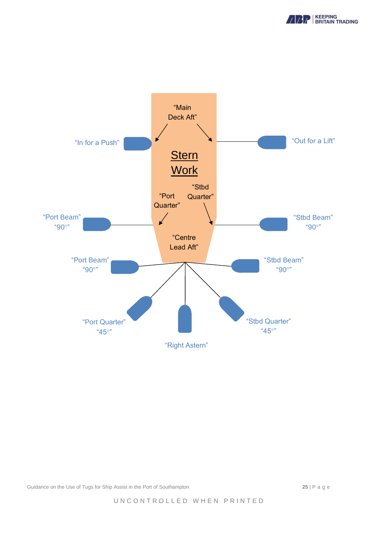



Guidance on the Use of Tugs for Ship Assist in the Port of Southampton **25** | P a g e

UNCONTROLLED WHEN PRINTED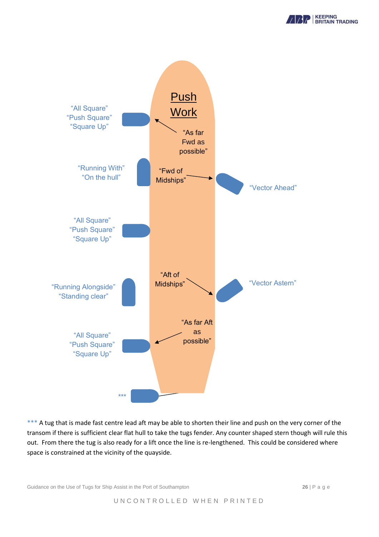



<span id="page-25-0"></span>\*\*\* A tug that is made fast centre lead aft may be able to shorten their line and push on the very corner of the transom if there is sufficient clear flat hull to take the tugs fender. Any counter shaped stern though will rule this out. From there the tug is also ready for a lift once the line is re-lengthened. This could be considered where space is constrained at the vicinity of the quayside.

Guidance on the Use of Tugs for Ship Assist in the Port of Southampton **26** | P a g e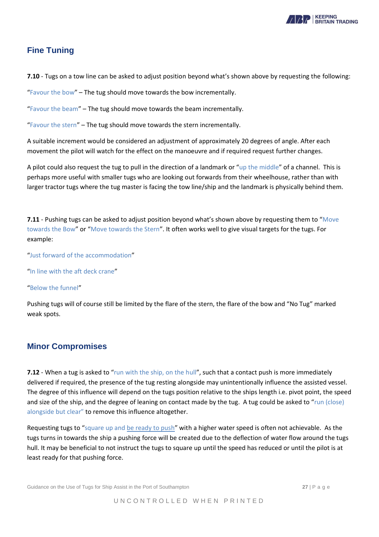

## **Fine Tuning**

**7.10** - Tugs on a tow line can be asked to adjust position beyond what's shown above by requesting the following:

"Favour the bow" – The tug should move towards the bow incrementally.

"Favour the beam" – The tug should move towards the beam incrementally.

"Favour the stern" – The tug should move towards the stern incrementally.

A suitable increment would be considered an adjustment of approximately 20 degrees of angle. After each movement the pilot will watch for the effect on the manoeuvre and if required request further changes.

A pilot could also request the tug to pull in the direction of a landmark or "up the middle" of a channel. This is perhaps more useful with smaller tugs who are looking out forwards from their wheelhouse, rather than with larger tractor tugs where the tug master is facing the tow line/ship and the landmark is physically behind them.

**7.11** - Pushing tugs can be asked to adjust position beyond what's shown above by requesting them to "Move towards the Bow" or "Move towards the Stern". It often works well to give visual targets for the tugs. For example:

"Just forward of the accommodation"

"In line with the aft deck crane"

"Below the funnel"

Pushing tugs will of course still be limited by the flare of the stern, the flare of the bow and "No Tug" marked weak spots.

## <span id="page-26-0"></span>**Minor Compromises**

**7.12** - When a tug is asked to "run with the ship, on the hull", such that a contact push is more immediately delivered if required, the presence of the tug resting alongside may unintentionally influence the assisted vessel. The degree of this influence will depend on the tugs position relative to the ships length i.e. pivot point, the speed and size of the ship, and the degree of leaning on contact made by the tug. A tug could be asked to "run (close) alongside but clear" to remove this influence altogether.

Requesting tugs to "square up and be ready to push" with a higher water speed is often not achievable. As the tugs turns in towards the ship a pushing force will be created due to the deflection of water flow around the tugs hull. It may be beneficial to not instruct the tugs to square up until the speed has reduced or until the pilot is at least ready for that pushing force.

Guidance on the Use of Tugs for Ship Assist in the Port of Southampton **27** | P a g e